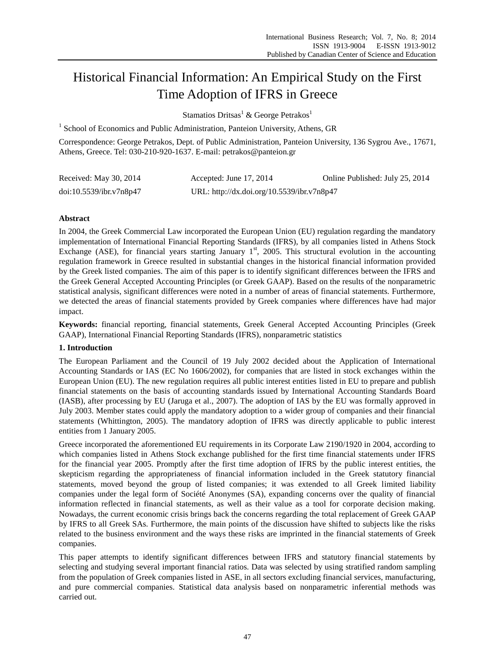# Historical Financial Information: An Empirical Study on the First Time Adoption of IFRS in Greece

Stamatios Dritsas<sup>1</sup> & George Petrakos<sup>1</sup>

<sup>1</sup> School of Economics and Public Administration, Panteion University, Athens, GR

Correspondence: George Petrakos, Dept. of Public Administration, Panteion University, 136 Sygrou Ave., 17671, Athens, Greece. Tel: 030-210-920-1637. E-mail: petrakos@panteion.gr

| Received: May 30, 2014  | Accepted: June 17, 2014                    | Online Published: July 25, 2014 |
|-------------------------|--------------------------------------------|---------------------------------|
| doi:10.5539/ibr.v7n8p47 | URL: http://dx.doi.org/10.5539/ibr.v7n8p47 |                                 |

# **Abstract**

In 2004, the Greek Commercial Law incorporated the European Union (EU) regulation regarding the mandatory implementation of International Financial Reporting Standards (IFRS), by all companies listed in Athens Stock Exchange (ASE), for financial years starting January  $1<sup>st</sup>$ , 2005. This structural evolution in the accounting regulation framework in Greece resulted in substantial changes in the historical financial information provided by the Greek listed companies. The aim of this paper is to identify significant differences between the IFRS and the Greek General Accepted Accounting Principles (or Greek GAAP). Based on the results of the nonparametric statistical analysis, significant differences were noted in a number of areas of financial statements. Furthermore, we detected the areas of financial statements provided by Greek companies where differences have had major impact.

**Keywords:** financial reporting, financial statements, Greek General Accepted Accounting Principles (Greek GAAP), International Financial Reporting Standards (IFRS), nonparametric statistics

## **1. Introduction**

The European Parliament and the Council of 19 July 2002 decided about the Application of International Accounting Standards or IAS (EC No 1606/2002), for companies that are listed in stock exchanges within the European Union (EU). The new regulation requires all public interest entities listed in EU to prepare and publish financial statements on the basis of accounting standards issued by International Accounting Standards Board (IASB), after processing by EU (Jaruga et al., 2007). The adoption of IAS by the EU was formally approved in July 2003. Member states could apply the mandatory adoption to a wider group of companies and their financial statements (Whittington, 2005). The mandatory adoption of IFRS was directly applicable to public interest entities from 1 January 2005.

Greece incorporated the aforementioned EU requirements in its Corporate Law 2190/1920 in 2004, according to which companies listed in Athens Stock exchange published for the first time financial statements under IFRS for the financial year 2005. Promptly after the first time adoption of IFRS by the public interest entities, the skepticism regarding the appropriateness of financial information included in the Greek statutory financial statements, moved beyond the group of listed companies; it was extended to all Greek limited liability companies under the legal form of Soci  $\acute{\text{e}}\acute{\text{e}}$  Anonymes (SA), expanding concerns over the quality of financial information reflected in financial statements, as well as their value as a tool for corporate decision making. Nowadays, the current economic crisis brings back the concerns regarding the total replacement of Greek GAAP by IFRS to all Greek SAs. Furthermore, the main points of the discussion have shifted to subjects like the risks related to the business environment and the ways these risks are imprinted in the financial statements of Greek companies.

This paper attempts to identify significant differences between IFRS and statutory financial statements by selecting and studying several important financial ratios. Data was selected by using stratified random sampling from the population of Greek companies listed in ASE, in all sectors excluding financial services, manufacturing, and pure commercial companies. Statistical data analysis based on nonparametric inferential methods was carried out.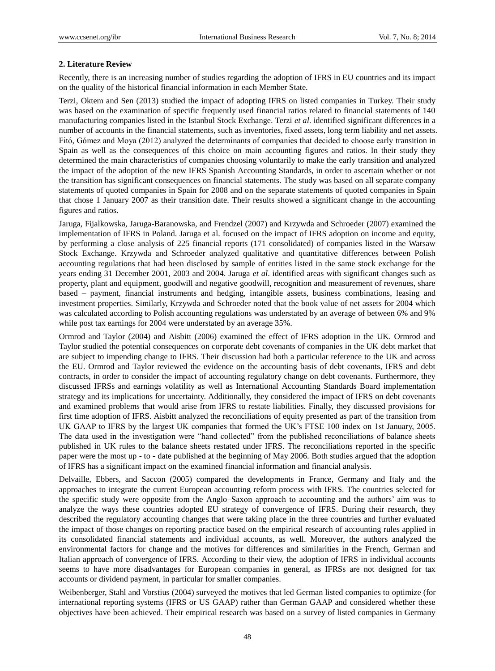### **2. Literature Review**

Recently, there is an increasing number of studies regarding the adoption of IFRS in EU countries and its impact on the quality of the historical financial information in each Member State.

Terzi, Oktem and Sen (2013) studied the impact of adopting IFRS on listed companies in Turkey. Their study was based on the examination of specific frequently used financial ratios related to financial statements of 140 manufacturing companies listed in the Istanbul Stock Exchange. Terzi *et al*. identified significant differences in a number of accounts in the financial statements, such as inventories, fixed assets, long term liability and net assets. Fitό, Gόmez and Moya (2012) analyzed the determinants of companies that decided to choose early transition in Spain as well as the consequences of this choice on main accounting figures and ratios. In their study they determined the main characteristics of companies choosing voluntarily to make the early transition and analyzed the impact of the adoption of the new IFRS Spanish Accounting Standards, in order to ascertain whether or not the transition has significant consequences on financial statements. The study was based on all separate company statements of quoted companies in Spain for 2008 and on the separate statements of quoted companies in Spain that chose 1 January 2007 as their transition date. Their results showed a significant change in the accounting figures and ratios.

Jaruga, Fijalkowska, Jaruga-Baranowska, and Frendzel (2007) and Krzywda and Schroeder (2007) examined the implementation of IFRS in Poland. Jaruga et al. focused on the impact of IFRS adoption on income and equity, by performing a close analysis of 225 financial reports (171 consolidated) of companies listed in the Warsaw Stock Exchange. Krzywda and Schroeder analyzed qualitative and quantitative differences between Polish accounting regulations that had been disclosed by sample of entities listed in the same stock exchange for the years ending 31 December 2001, 2003 and 2004. Jaruga *et al*. identified areas with significant changes such as property, plant and equipment, goodwill and negative goodwill, recognition and measurement of revenues, share based – payment, financial instruments and hedging, intangible assets, business combinations, leasing and investment properties. Similarly, Krzywda and Schroeder noted that the book value of net assets for 2004 which was calculated according to Polish accounting regulations was understated by an average of between 6% and 9% while post tax earnings for 2004 were understated by an average 35%.

Ormrod and Taylor (2004) and Aisbitt (2006) examined the effect of IFRS adoption in the UK. Ormrod and Taylor studied the potential consequences on corporate debt covenants of companies in the UK debt market that are subject to impending change to IFRS. Their discussion had both a particular reference to the UK and across the EU. Ormrod and Taylor reviewed the evidence on the accounting basis of debt covenants, IFRS and debt contracts, in order to consider the impact of accounting regulatory change on debt covenants. Furthermore, they discussed IFRSs and earnings volatility as well as International Accounting Standards Board implementation strategy and its implications for uncertainty. Additionally, they considered the impact of IFRS on debt covenants and examined problems that would arise from IFRS to restate liabilities. Finally, they discussed provisions for first time adoption of IFRS. Aisbitt analyzed the reconciliations of equity presented as part of the transition from UK GAAP to IFRS by the largest UK companies that formed the UK's FTSE 100 index on 1st January, 2005. The data used in the investigation were "hand collected" from the published reconciliations of balance sheets published in UK rules to the balance sheets restated under IFRS. The reconciliations reported in the specific paper were the most up - to - date published at the beginning of May 2006. Both studies argued that the adoption of IFRS has a significant impact on the examined financial information and financial analysis.

Delvaille, Ebbers, and Saccon (2005) compared the developments in France, Germany and Italy and the approaches to integrate the current European accounting reform process with IFRS. The countries selected for the specific study were opposite from the Anglo–Saxon approach to accounting and the authors' aim was to analyze the ways these countries adopted EU strategy of convergence of IFRS. During their research, they described the regulatory accounting changes that were taking place in the three countries and further evaluated the impact of those changes on reporting practice based on the empirical research of accounting rules applied in its consolidated financial statements and individual accounts, as well. Moreover, the authors analyzed the environmental factors for change and the motives for differences and similarities in the French, German and Italian approach of convergence of IFRS. According to their view, the adoption of IFRS in individual accounts seems to have more disadvantages for European companies in general, as IFRSs are not designed for tax accounts or dividend payment, in particular for smaller companies.

Weibenberger, Stahl and Vorstius (2004) surveyed the motives that led German listed companies to optimize (for international reporting systems (IFRS or US GAAP) rather than German GAAP and considered whether these objectives have been achieved. Their empirical research was based on a survey of listed companies in Germany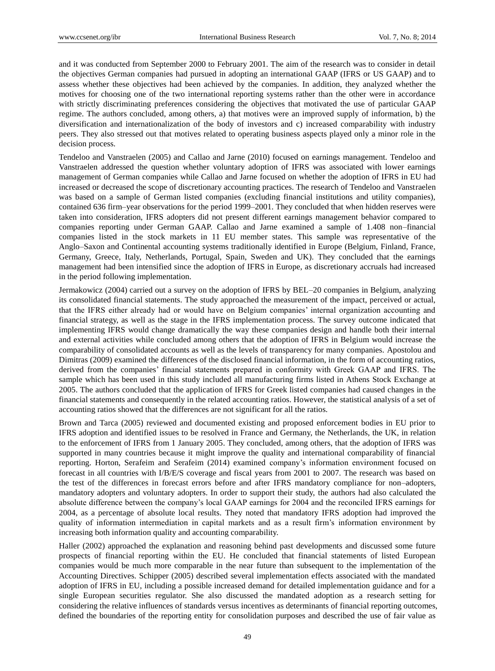and it was conducted from September 2000 to February 2001. The aim of the research was to consider in detail the objectives German companies had pursued in adopting an international GAAP (IFRS or US GAAP) and to assess whether these objectives had been achieved by the companies. In addition, they analyzed whether the motives for choosing one of the two international reporting systems rather than the other were in accordance with strictly discriminating preferences considering the objectives that motivated the use of particular GAAP regime. The authors concluded, among others, a) that motives were an improved supply of information, b) the diversification and internationalization of the body of investors and c) increased comparability with industry peers. They also stressed out that motives related to operating business aspects played only a minor role in the decision process.

Tendeloo and Vanstraelen (2005) and Callao and Jarne (2010) focused on earnings management. Tendeloo and Vanstraelen addressed the question whether voluntary adoption of IFRS was associated with lower earnings management of German companies while Callao and Jarne focused on whether the adoption of IFRS in EU had increased or decreased the scope of discretionary accounting practices. The research of Tendeloo and Vanstraelen was based on a sample of German listed companies (excluding financial institutions and utility companies), contained 636 firm–year observations for the period 1999–2001. They concluded that when hidden reserves were taken into consideration, IFRS adopters did not present different earnings management behavior compared to companies reporting under German GAAP. Callao and Jarne examined a sample of 1.408 non–financial companies listed in the stock markets in 11 EU member states. This sample was representative of the Anglo–Saxon and Continental accounting systems traditionally identified in Europe (Belgium, Finland, France, Germany, Greece, Italy, Netherlands, Portugal, Spain, Sweden and UK). They concluded that the earnings management had been intensified since the adoption of IFRS in Europe, as discretionary accruals had increased in the period following implementation.

Jermakowicz (2004) carried out a survey on the adoption of IFRS by BEL–20 companies in Belgium, analyzing its consolidated financial statements. The study approached the measurement of the impact, perceived or actual, that the IFRS either already had or would have on Belgium companies' internal organization accounting and financial strategy, as well as the stage in the IFRS implementation process. The survey outcome indicated that implementing IFRS would change dramatically the way these companies design and handle both their internal and external activities while concluded among others that the adoption of IFRS in Belgium would increase the comparability of consolidated accounts as well as the levels of transparency for many companies. Apostolou and Dimitras (2009) examined the differences of the disclosed financial information, in the form of accounting ratios, derived from the companies' financial statements prepared in conformity with Greek GAAP and IFRS. The sample which has been used in this study included all manufacturing firms listed in Athens Stock Exchange at 2005. The authors concluded that the application of IFRS for Greek listed companies had caused changes in the financial statements and consequently in the related accounting ratios. However, the statistical analysis of a set of accounting ratios showed that the differences are not significant for all the ratios.

Brown and Tarca (2005) reviewed and documented existing and proposed enforcement bodies in EU prior to IFRS adoption and identified issues to be resolved in France and Germany, the Netherlands, the UK, in relation to the enforcement of IFRS from 1 January 2005. They concluded, among others, that the adoption of IFRS was supported in many countries because it might improve the quality and international comparability of financial reporting. Horton, Serafeim and Serafeim (2014) examined company's information environment focused on forecast in all countries with I/B/E/S coverage and fiscal years from 2001 to 2007. The research was based on the test of the differences in forecast errors before and after IFRS mandatory compliance for non–adopters, mandatory adopters and voluntary adopters. In order to support their study, the authors had also calculated the absolute difference between the company's local GAAP earnings for 2004 and the reconciled IFRS earnings for 2004, as a percentage of absolute local results. They noted that mandatory IFRS adoption had improved the quality of information intermediation in capital markets and as a result firm's information environment by increasing both information quality and accounting comparability.

Haller (2002) approached the explanation and reasoning behind past developments and discussed some future prospects of financial reporting within the EU. He concluded that financial statements of listed European companies would be much more comparable in the near future than subsequent to the implementation of the Accounting Directives. Schipper (2005) described several implementation effects associated with the mandated adoption of IFRS in EU, including a possible increased demand for detailed implementation guidance and for a single European securities regulator. She also discussed the mandated adoption as a research setting for considering the relative influences of standards versus incentives as determinants of financial reporting outcomes, defined the boundaries of the reporting entity for consolidation purposes and described the use of fair value as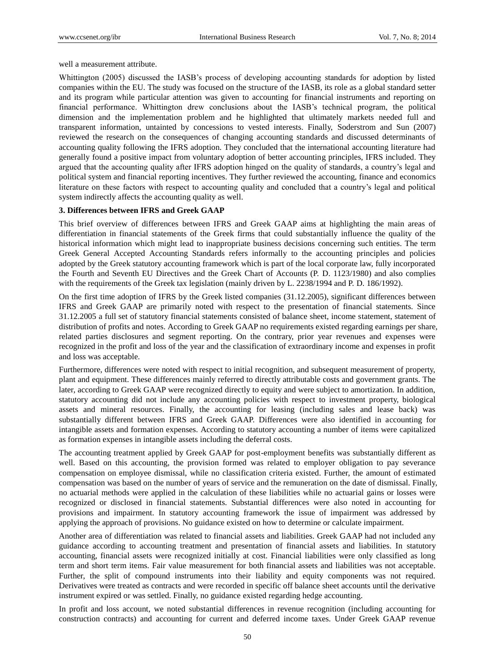well a measurement attribute.

Whittington (2005) discussed the IASB's process of developing accounting standards for adoption by listed companies within the EU. The study was focused on the structure of the IASB, its role as a global standard setter and its program while particular attention was given to accounting for financial instruments and reporting on financial performance. Whittington drew conclusions about the IASB's technical program, the political dimension and the implementation problem and he highlighted that ultimately markets needed full and transparent information, untainted by concessions to vested interests. Finally, Soderstrom and Sun (2007) reviewed the research on the consequences of changing accounting standards and discussed determinants of accounting quality following the IFRS adoption. They concluded that the international accounting literature had generally found a positive impact from voluntary adoption of better accounting principles, IFRS included. They argued that the accounting quality after IFRS adoption hinged on the quality of standards, a country's legal and political system and financial reporting incentives. They further reviewed the accounting, finance and economics literature on these factors with respect to accounting quality and concluded that a country's legal and political system indirectly affects the accounting quality as well.

#### **3. Differences between IFRS and Greek GAAP**

This brief overview of differences between IFRS and Greek GAAP aims at highlighting the main areas of differentiation in financial statements of the Greek firms that could substantially influence the quality of the historical information which might lead to inappropriate business decisions concerning such entities. The term Greek General Accepted Accounting Standards refers informally to the accounting principles and policies adopted by the Greek statutory accounting framework which is part of the local corporate law, fully incorporated the Fourth and Seventh EU Directives and the Greek Chart of Accounts (P. D. 1123/1980) and also complies with the requirements of the Greek tax legislation (mainly driven by L. 2238/1994 and P. D. 186/1992).

On the first time adoption of IFRS by the Greek listed companies (31.12.2005), significant differences between IFRS and Greek GAAP are primarily noted with respect to the presentation of financial statements. Since 31.12.2005 a full set of statutory financial statements consisted of balance sheet, income statement, statement of distribution of profits and notes. According to Greek GAAP no requirements existed regarding earnings per share, related parties disclosures and segment reporting. On the contrary, prior year revenues and expenses were recognized in the profit and loss of the year and the classification of extraordinary income and expenses in profit and loss was acceptable.

Furthermore, differences were noted with respect to initial recognition, and subsequent measurement of property, plant and equipment. These differences mainly referred to directly attributable costs and government grants. The later, according to Greek GAAP were recognized directly to equity and were subject to amortization. In addition, statutory accounting did not include any accounting policies with respect to investment property, biological assets and mineral resources. Finally, the accounting for leasing (including sales and lease back) was substantially different between IFRS and Greek GAAP. Differences were also identified in accounting for intangible assets and formation expenses. According to statutory accounting a number of items were capitalized as formation expenses in intangible assets including the deferral costs.

The accounting treatment applied by Greek GAAP for post-employment benefits was substantially different as well. Based on this accounting, the provision formed was related to employer obligation to pay severance compensation on employee dismissal, while no classification criteria existed. Further, the amount of estimated compensation was based on the number of years of service and the remuneration on the date of dismissal. Finally, no actuarial methods were applied in the calculation of these liabilities while no actuarial gains or losses were recognized or disclosed in financial statements. Substantial differences were also noted in accounting for provisions and impairment. In statutory accounting framework the issue of impairment was addressed by applying the approach of provisions. No guidance existed on how to determine or calculate impairment.

Another area of differentiation was related to financial assets and liabilities. Greek GAAP had not included any guidance according to accounting treatment and presentation of financial assets and liabilities. In statutory accounting, financial assets were recognized initially at cost. Financial liabilities were only classified as long term and short term items. Fair value measurement for both financial assets and liabilities was not acceptable. Further, the split of compound instruments into their liability and equity components was not required. Derivatives were treated as contracts and were recorded in specific off balance sheet accounts until the derivative instrument expired or was settled. Finally, no guidance existed regarding hedge accounting.

In profit and loss account, we noted substantial differences in revenue recognition (including accounting for construction contracts) and accounting for current and deferred income taxes. Under Greek GAAP revenue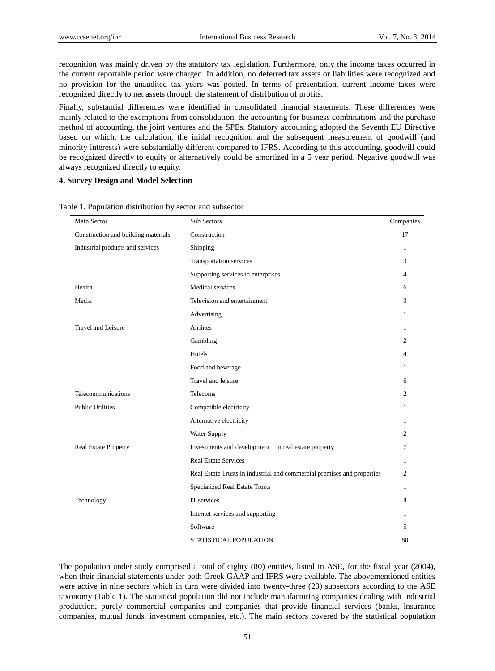recognition was mainly driven by the statutory tax legislation. Furthermore, only the income taxes occurred in the current reportable period were charged. In addition, no deferred tax assets or liabilities were recognized and no provision for the unaudited tax years was posted. In terms of presentation, current income taxes were recognized directly to net assets through the statement of distribution of profits.

Finally, substantial differences were identified in consolidated financial statements. These differences were mainly related to the exemptions from consolidation, the accounting for business combinations and the purchase method of accounting, the joint ventures and the SPEs. Statutory accounting adopted the Seventh EU Directive based on which, the calculation, the initial recognition and the subsequent measurement of goodwill (and minority interests) were substantially different compared to IFRS. According to this accounting, goodwill could be recognized directly to equity or alternatively could be amortized in a 5 year period. Negative goodwill was always recognized directly to equity.

## **4. Survey Design and Model Selection**

| Main Sector                         | Sub Sectors                                                             | Companies      |
|-------------------------------------|-------------------------------------------------------------------------|----------------|
| Construction and building materials | Construction                                                            | 17             |
| Industrial products and services    | Shipping                                                                | 1              |
|                                     | Transportation services                                                 | 3              |
|                                     | Supporting services to enterprises                                      | 4              |
| Health                              | Medical services                                                        | 6              |
| Media                               | Television and entertainment                                            | 3              |
|                                     | Advertising                                                             | 1              |
| <b>Travel and Leisure</b>           | <b>Airlines</b>                                                         | 1              |
|                                     | Gambling                                                                | 2              |
|                                     | Hotels                                                                  | $\overline{4}$ |
|                                     | Food and beverage                                                       | 1              |
|                                     | Travel and leisure                                                      | 6              |
| Telecommunications                  | Telecoms                                                                | $\overline{c}$ |
| <b>Public Utilities</b>             | Compatible electricity                                                  | 1              |
|                                     | Alternative electricity                                                 | 1              |
|                                     | Water Supply                                                            | $\overline{c}$ |
| Real Estate Property                | Investments and development in real estate property                     | 7              |
|                                     | <b>Real Estate Services</b>                                             | 1              |
|                                     | Real Estate Trusts in industrial and commercial premises and properties | $\overline{2}$ |
|                                     | <b>Specialized Real Estate Trusts</b>                                   | 1              |
| Technology                          | IT services                                                             | 8              |
|                                     | Internet services and supporting                                        | 1              |
|                                     | Software                                                                | 5              |
|                                     | STATISTICAL POPULATION                                                  | 80             |

Table 1. Population distribution by sector and subsector

The population under study comprised a total of eighty (80) entities, listed in ASE, for the fiscal year (2004), when their financial statements under both Greek GAAP and IFRS were available. The abovementioned entities were active in nine sectors which in turn were divided into twenty-three (23) subsectors according to the ASE taxonomy (Table 1). The statistical population did not include manufacturing companies dealing with industrial production, purely commercial companies and companies that provide financial services (banks, insurance companies, mutual funds, investment companies, etc.). The main sectors covered by the statistical population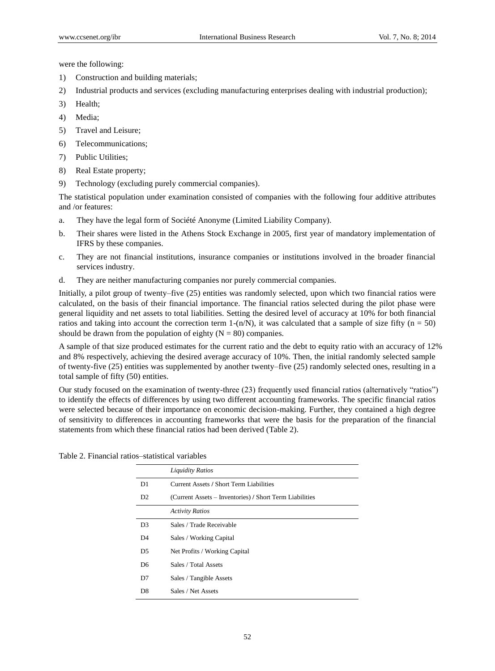were the following:

- 1) Construction and building materials;
- 2) Industrial products and services (excluding manufacturing enterprises dealing with industrial production);
- 3) Health;
- 4) Media;
- 5) Travel and Leisure;
- 6) Telecommunications;
- 7) Public Utilities;
- 8) Real Estate property;
- 9) Technology (excluding purely commercial companies).

The statistical population under examination consisted of companies with the following four additive attributes and /or features:

- a. They have the legal form of Soci  $\acute{\text{a}}$  é Anonyme (Limited Liability Company).
- b. Their shares were listed in the Athens Stock Exchange in 2005, first year of mandatory implementation of IFRS by these companies.
- c. They are not financial institutions, insurance companies or institutions involved in the broader financial services industry.
- d. They are neither manufacturing companies nor purely commercial companies.

Initially, a pilot group of twenty–five (25) entities was randomly selected, upon which two financial ratios were calculated, on the basis of their financial importance. The financial ratios selected during the pilot phase were general liquidity and net assets to total liabilities. Setting the desired level of accuracy at 10% for both financial ratios and taking into account the correction term 1-(n/N), it was calculated that a sample of size fifty ( $n = 50$ ) should be drawn from the population of eighty  $(N = 80)$  companies.

A sample of that size produced estimates for the current ratio and the debt to equity ratio with an accuracy of 12% and 8% respectively, achieving the desired average accuracy of 10%. Then, the initial randomly selected sample of twenty-five (25) entities was supplemented by another twenty–five (25) randomly selected ones, resulting in a total sample of fifty (50) entities.

Our study focused on the examination of twenty-three (23) frequently used financial ratios (alternatively "ratios") to identify the effects of differences by using two different accounting frameworks. The specific financial ratios were selected because of their importance on economic decision-making. Further, they contained a high degree of sensitivity to differences in accounting frameworks that were the basis for the preparation of the financial statements from which these financial ratios had been derived (Table 2).

Table 2. Financial ratios–statistical variables

|                | <b>Liquidity Ratios</b>                                 |  |  |
|----------------|---------------------------------------------------------|--|--|
| D1             | Current Assets / Short Term Liabilities                 |  |  |
| D <sub>2</sub> | (Current Assets – Inventories) / Short Term Liabilities |  |  |
|                | <b>Activity Ratios</b>                                  |  |  |
| D <sub>3</sub> | Sales / Trade Receivable                                |  |  |
| D <sub>4</sub> | Sales / Working Capital                                 |  |  |
| D <sub>5</sub> | Net Profits / Working Capital                           |  |  |
| D <sub>6</sub> | Sales / Total Assets                                    |  |  |
| D7             | Sales / Tangible Assets                                 |  |  |
| D8             | Sales / Net Assets                                      |  |  |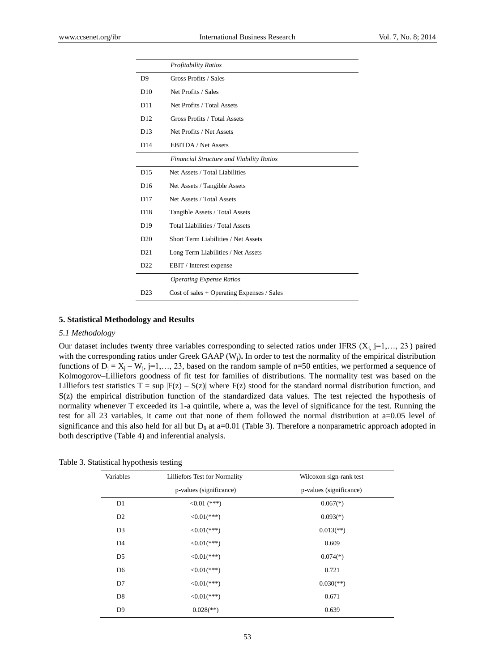|                 | <b>Profitability Ratios</b>                     |  |  |  |  |
|-----------------|-------------------------------------------------|--|--|--|--|
| D <sub>9</sub>  | Gross Profits / Sales                           |  |  |  |  |
| D <sub>10</sub> | Net Profits / Sales                             |  |  |  |  |
| D11             | Net Profits / Total Assets                      |  |  |  |  |
| D12             | Gross Profits / Total Assets                    |  |  |  |  |
| D13             | Net Profits / Net Assets                        |  |  |  |  |
| D14             | <b>EBITDA</b> / Net Assets                      |  |  |  |  |
|                 | <b>Financial Structure and Viability Ratios</b> |  |  |  |  |
| D <sub>15</sub> | Net Assets / Total Liabilities                  |  |  |  |  |
| D <sub>16</sub> | Net Assets / Tangible Assets                    |  |  |  |  |
| D <sub>17</sub> | Net Assets / Total Assets                       |  |  |  |  |
| D18             | Tangible Assets / Total Assets                  |  |  |  |  |
| D <sub>19</sub> | Total Liabilities / Total Assets                |  |  |  |  |
| D <sub>20</sub> | Short Term Liabilities / Net Assets             |  |  |  |  |
| D21             | Long Term Liabilities / Net Assets              |  |  |  |  |
| D <sub>22</sub> | EBIT / Interest expense                         |  |  |  |  |
|                 | <b>Operating Expense Ratios</b>                 |  |  |  |  |
| D23             | Cost of sales $+$ Operating Expenses / Sales    |  |  |  |  |

### **5. Statistical Methodology and Results**

#### *5.1 Methodology*

Our dataset includes twenty three variables corresponding to selected ratios under IFRS  $(X_i, j=1,..., 23)$  paired with the corresponding ratios under Greek GAAP (W<sub>i</sub>). In order to test the normality of the empirical distribution functions of  $D_j = X_j - W_j$ , j=1,..., 23, based on the random sample of n=50 entities, we performed a sequence of Kolmogorov–Lilliefors goodness of fit test for families of distributions. The normality test was based on the Lilliefors test statistics T = sup  $|F(z) - S(z)|$  where  $F(z)$  stood for the standard normal distribution function, and S(z) the empirical distribution function of the standardized data values. The test rejected the hypothesis of normality whenever T exceeded its 1-a quintile, where a, was the level of significance for the test. Running the test for all 23 variables, it came out that none of them followed the normal distribution at a=0.05 level of significance and this also held for all but  $D_9$  at a=0.01 (Table 3). Therefore a nonparametric approach adopted in both descriptive (Table 4) and inferential analysis.

Table 3. Statistical hypothesis testing

| Variables      | Lilliefors Test for Normality | Wilcoxon sign-rank test   |  |  |
|----------------|-------------------------------|---------------------------|--|--|
|                | p-values (significance)       | p-values (significance)   |  |  |
| D1             | $<0.01$ (***)                 | $0.067$ <sup>(*)</sup> )  |  |  |
| D <sub>2</sub> | $\leq 0.01$ (***)             | $0.093(*)$                |  |  |
| D <sub>3</sub> | $\leq 0.01$ (***)             | $0.013$ <sup>**</sup> )   |  |  |
| D <sub>4</sub> | $\leq 0.01$ (***)             | 0.609                     |  |  |
| D <sub>5</sub> | $\leq 0.01$ (***)             | $0.074(*)$                |  |  |
| D <sub>6</sub> | $\leq 0.01$ (***)             | 0.721                     |  |  |
| D7             | $\leq 0.01$ (***)             | $0.030$ <sup>(**)</sup> ) |  |  |
| D <sub>8</sub> | $\leq 0.01$ (***)             | 0.671                     |  |  |
| D <sub>9</sub> | $0.028$ <sup>(**)</sup> )     | 0.639                     |  |  |
|                |                               |                           |  |  |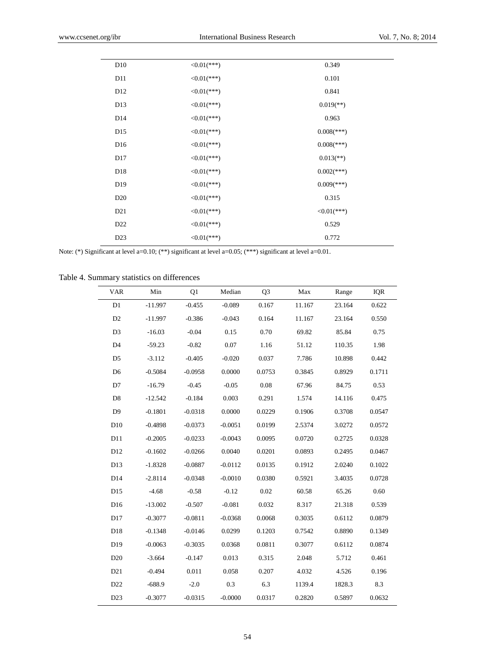| D10             | $<0.01$ (***) | 0.349                   |
|-----------------|---------------|-------------------------|
| D11             | $<0.01$ (***) | 0.101                   |
| D <sub>12</sub> | $<0.01$ (***) | 0.841                   |
| D13             | $<0.01$ (***) | $0.019$ <sup>**</sup> ) |
| D <sub>14</sub> | $<0.01$ (***) | 0.963                   |
| D <sub>15</sub> | $<0.01$ (***) | $0.008$ (***)           |
| D <sub>16</sub> | $<0.01$ (***) | $0.008$ (***)           |
| D17             | $<0.01$ (***) | $0.013$ <sup>**</sup> ) |
| D18             | $<0.01$ (***) | $0.002$ (***)           |
| D <sub>19</sub> | $<0.01$ (***) | $0.009$ (***)           |
| D <sub>20</sub> | $<0.01$ (***) | 0.315                   |
| D21             | $<0.01$ (***) | $<0.01$ (***)           |
| D <sub>22</sub> | $<0.01$ (***) | 0.529                   |
| D23             | $<0.01$ (***) | 0.772                   |
|                 |               |                         |

Note: (\*) Significant at level a=0.10; (\*\*) significant at level a=0.05; (\*\*\*) significant at level a=0.01.

Table 4. Summary statistics on differences

| <b>VAR</b>      | Min       | Q1        | Median    | Q <sub>3</sub> | Max    | Range  | IQR    |
|-----------------|-----------|-----------|-----------|----------------|--------|--------|--------|
| D1              | $-11.997$ | $-0.455$  | $-0.089$  | 0.167          | 11.167 | 23.164 | 0.622  |
| D2              | $-11.997$ | $-0.386$  | $-0.043$  | 0.164          | 11.167 | 23.164 | 0.550  |
| D <sub>3</sub>  | $-16.03$  | $-0.04$   | 0.15      | 0.70           | 69.82  | 85.84  | 0.75   |
| D <sub>4</sub>  | $-59.23$  | $-0.82$   | 0.07      | 1.16           | 51.12  | 110.35 | 1.98   |
| D <sub>5</sub>  | $-3.112$  | $-0.405$  | $-0.020$  | 0.037          | 7.786  | 10.898 | 0.442  |
| D <sub>6</sub>  | $-0.5084$ | $-0.0958$ | 0.0000    | 0.0753         | 0.3845 | 0.8929 | 0.1711 |
| D7              | $-16.79$  | $-0.45$   | $-0.05$   | 0.08           | 67.96  | 84.75  | 0.53   |
| D <sub>8</sub>  | $-12.542$ | $-0.184$  | 0.003     | 0.291          | 1.574  | 14.116 | 0.475  |
| D <sub>9</sub>  | $-0.1801$ | $-0.0318$ | 0.0000    | 0.0229         | 0.1906 | 0.3708 | 0.0547 |
| D10             | $-0.4898$ | $-0.0373$ | $-0.0051$ | 0.0199         | 2.5374 | 3.0272 | 0.0572 |
| D11             | $-0.2005$ | $-0.0233$ | $-0.0043$ | 0.0095         | 0.0720 | 0.2725 | 0.0328 |
| D12             | $-0.1602$ | $-0.0266$ | 0.0040    | 0.0201         | 0.0893 | 0.2495 | 0.0467 |
| D13             | $-1.8328$ | $-0.0887$ | $-0.0112$ | 0.0135         | 0.1912 | 2.0240 | 0.1022 |
| D14             | $-2.8114$ | $-0.0348$ | $-0.0010$ | 0.0380         | 0.5921 | 3.4035 | 0.0728 |
| D15             | $-4.68$   | $-0.58$   | $-0.12$   | 0.02           | 60.58  | 65.26  | 0.60   |
| D16             | $-13.002$ | $-0.507$  | $-0.081$  | 0.032          | 8.317  | 21.318 | 0.539  |
| D17             | $-0.3077$ | $-0.0811$ | $-0.0368$ | 0.0068         | 0.3035 | 0.6112 | 0.0879 |
| D18             | $-0.1348$ | $-0.0146$ | 0.0299    | 0.1203         | 0.7542 | 0.8890 | 0.1349 |
| D19             | $-0.0063$ | $-0.3035$ | 0.0368    | 0.0811         | 0.3077 | 0.6112 | 0.0874 |
| D <sub>20</sub> | $-3.664$  | $-0.147$  | 0.013     | 0.315          | 2.048  | 5.712  | 0.461  |
| D21             | $-0.494$  | 0.011     | 0.058     | 0.207          | 4.032  | 4.526  | 0.196  |
| D22             | $-688.9$  | $-2.0$    | 0.3       | 6.3            | 1139.4 | 1828.3 | 8.3    |
| D23             | $-0.3077$ | $-0.0315$ | $-0.0000$ | 0.0317         | 0.2820 | 0.5897 | 0.0632 |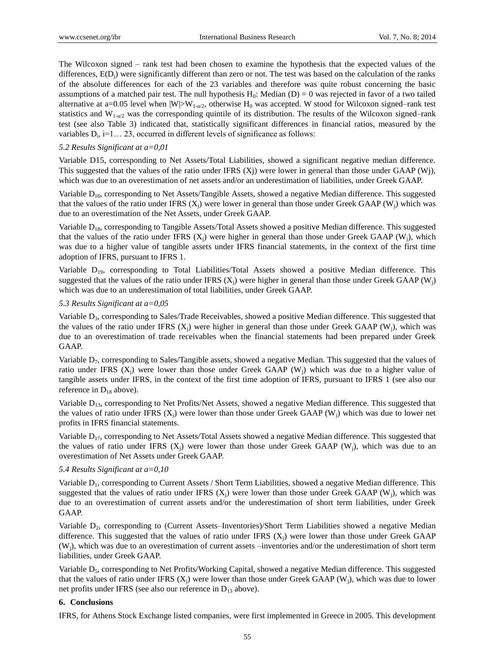The Wilcoxon signed – rank test had been chosen to examine the hypothesis that the expected values of the differences,  $E(D_i)$  were significantly different than zero or not. The test was based on the calculation of the ranks of the absolute differences for each of the 23 variables and therefore was quite robust concerning the basic assumptions of a matched pair test. The null hypothesis  $H_0$ : Median (D) = 0 was rejected in favor of a two tailed alternative at a=0.05 level when  $|W|>W_{1-q/2}$ , otherwise H<sub>0</sub> was accepted. W stood for Wilcoxon signed–rank test statistics and  $W_{1-\alpha/2}$  was the corresponding quintile of its distribution. The results of the Wilcoxon signed–rank test (see also Table 3) indicated that, statistically significant differences in financial ratios, measured by the variables  $D_i$ , i=1... 23, occurred in different levels of significance as follows:

#### *5.2 Results Significant at a=0,01*

Variable D15, corresponding to Net Assets/Total Liabilities, showed a significant negative median difference. This suggested that the values of the ratio under IFRS  $(X<sub>i</sub>)$  were lower in general than those under GAAP (Wj), which was due to an overestimation of net assets and/or an underestimation of liabilities, under Greek GAAP.

Variable D<sub>16</sub>, corresponding to Net Assets/Tangible Assets, showed a negative Median difference. This suggested that the values of the ratio under IFRS  $(X_i)$  were lower in general than those under Greek GAAP (W<sub>i</sub>) which was due to an overestimation of the Net Assets, under Greek GAAP.

Variable D<sub>18</sub>, corresponding to Tangible Assets/Total Assets showed a positive Median difference. This suggested that the values of the ratio under IFRS  $(X_i)$  were higher in general than those under Greek GAAP (W<sub>i</sub>), which was due to a higher value of tangible assets under IFRS financial statements, in the context of the first time adoption of IFRS, pursuant to IFRS 1.

Variable  $D_{19}$ , corresponding to Total Liabilities/Total Assets showed a positive Median difference. This suggested that the values of the ratio under IFRS  $(X_i)$  were higher in general than those under Greek GAAP (W<sub>i</sub>) which was due to an underestimation of total liabilities, under Greek GAAP.

#### *5.3 Results Significant at a=0,05*

Variable D<sub>3</sub>, corresponding to Sales/Trade Receivables, showed a positive Median difference. This suggested that the values of the ratio under IFRS  $(X_i)$  were higher in general than those under Greek GAAP (W<sub>i</sub>), which was due to an overestimation of trade receivables when the financial statements had been prepared under Greek GAAP.

Variable D7, corresponding to Sales/Tangible assets, showed a negative Median. This suggested that the values of ratio under IFRS  $(X_i)$  were lower than those under Greek GAAP  $(W_i)$  which was due to a higher value of tangible assets under IFRS, in the context of the first time adoption of IFRS, pursuant to IFRS 1 (see also our reference in  $D_{18}$  above).

Variable D<sub>13</sub>, corresponding to Net Profits/Net Assets, showed a negative Median difference. This suggested that the values of ratio under IFRS  $(X_i)$  were lower than those under Greek GAAP  $(W_i)$  which was due to lower net profits in IFRS financial statements.

Variable D<sub>17</sub>, corresponding to Net Assets/Total Assets showed a negative Median difference. This suggested that the values of ratio under IFRS  $(X_i)$  were lower than those under Greek GAAP (W<sub>i</sub>), which was due to an overestimation of Net Assets under Greek GAAP.

#### *5.4 Results Significant at a=0,10*

Variable  $D_1$ , corresponding to Current Assets / Short Term Liabilities, showed a negative Median difference. This suggested that the values of ratio under IFRS  $(X<sub>i</sub>)$  were lower than those under Greek GAAP (W<sub>i</sub>), which was due to an overestimation of current assets and/or the underestimation of short term liabilities, under Greek GAAP.

Variable D<sub>2</sub>, corresponding to (Current Assets–Inventories)/Short Term Liabilities showed a negative Median difference. This suggested that the values of ratio under IFRS  $(X_i)$  were lower than those under Greek GAAP (Wj), which was due to an overestimation of current assets –inventories and/or the underestimation of short term liabilities, under Greek GAAP.

Variable  $D_5$ , corresponding to Net Profits/Working Capital, showed a negative Median difference. This suggested that the values of ratio under IFRS  $(X_i)$  were lower than those under Greek GAAP  $(W_i)$ , which was due to lower net profits under IFRS (see also our reference in D<sub>13</sub> above).

### **6. Conclusions**

IFRS, for Athens Stock Exchange listed companies, were first implemented in Greece in 2005. This development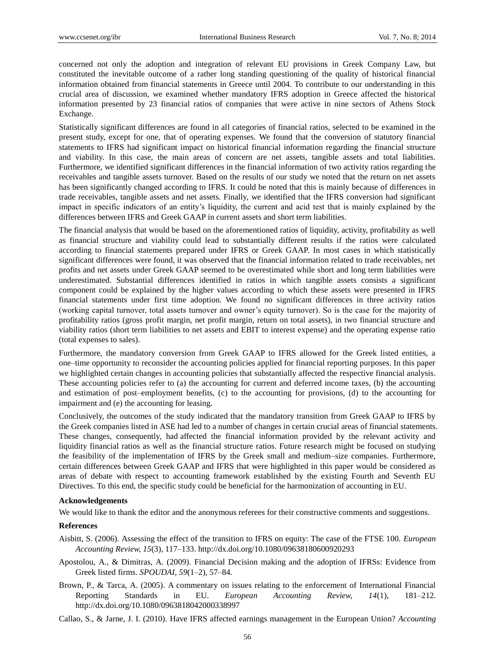concerned not only the adoption and integration of relevant EU provisions in Greek Company Law, but constituted the inevitable outcome of a rather long standing questioning of the quality of historical financial information obtained from financial statements in Greece until 2004. To contribute to our understanding in this crucial area of discussion, we examined whether mandatory IFRS adoption in Greece affected the historical information presented by 23 financial ratios of companies that were active in nine sectors of Athens Stock Exchange.

Statistically significant differences are found in all categories of financial ratios, selected to be examined in the present study, except for one, that of operating expenses. We found that the conversion of statutory financial statements to IFRS had significant impact on historical financial information regarding the financial structure and viability. In this case, the main areas of concern are net assets, tangible assets and total liabilities. Furthermore, we identified significant differences in the financial information of two activity ratios regarding the receivables and tangible assets turnover. Based on the results of our study we noted that the return on net assets has been significantly changed according to IFRS. It could be noted that this is mainly because of differences in trade receivables, tangible assets and net assets. Finally, we identified that the IFRS conversion had significant impact in specific indicators of an entity's liquidity, the current and acid test that is mainly explained by the differences between IFRS and Greek GAAP in current assets and short term liabilities.

The financial analysis that would be based on the aforementioned ratios of liquidity, activity, profitability as well as financial structure and viability could lead to substantially different results if the ratios were calculated according to financial statements prepared under IFRS or Greek GAAP. In most cases in which statistically significant differences were found, it was observed that the financial information related to trade receivables, net profits and net assets under Greek GAAP seemed to be overestimated while short and long term liabilities were underestimated. Substantial differences identified in ratios in which tangible assets consists a significant component could be explained by the higher values according to which these assets were presented in IFRS financial statements under first time adoption. We found no significant differences in three activity ratios (working capital turnover, total assets turnover and owner's equity turnover). So is the case for the majority of profitability ratios (gross profit margin, net profit margin, return on total assets), in two financial structure and viability ratios (short term liabilities to net assets and EBIT to interest expense) and the operating expense ratio (total expenses to sales).

Furthermore, the mandatory conversion from Greek GAAP to IFRS allowed for the Greek listed entities, a one–time opportunity to reconsider the accounting policies applied for financial reporting purposes. In this paper we highlighted certain changes in accounting policies that substantially affected the respective financial analysis. These accounting policies refer to (a) the accounting for current and deferred income taxes, (b) the accounting and estimation of post–employment benefits, (c) to the accounting for provisions, (d) to the accounting for impairment and (e) the accounting for leasing.

Conclusively, the outcomes of the study indicated that the mandatory transition from Greek GAAP to IFRS by the Greek companies listed in ASE had led to a number of changes in certain crucial areas of financial statements. These changes, consequently, had affected the financial information provided by the relevant activity and liquidity financial ratios as well as the financial structure ratios. Future research might be focused on studying the feasibility of the implementation of IFRS by the Greek small and medium–size companies. Furthermore, certain differences between Greek GAAP and IFRS that were highlighted in this paper would be considered as areas of debate with respect to accounting framework established by the existing Fourth and Seventh EU Directives. To this end, the specific study could be beneficial for the harmonization of accounting in EU.

#### **Acknowledgements**

We would like to thank the editor and the anonymous referees for their constructive comments and suggestions.

## **References**

Aisbitt, S. (2006). Assessing the effect of the transition to IFRS on equity: The case of the FTSE 100. *European Accounting Review, 15*(3), 117–133. http://dx.doi.org/10.1080/09638180600920293

- Apostolou, A., & Dimitras, A. (2009). Financial Decision making and the adoption of IFRSs: Evidence from Greek listed firms. *SPOUDAI, 59*(1–2), 57–84.
- Brown, P., & Tarca, A. (2005). A commentary on issues relating to the enforcement of International Financial Reporting Standards in EU. *European Accounting Review, 14*(1), 181–212. http://dx.doi.org/10.1080/0963818042000338997
- Callao, S., & Jarne, J. I. (2010). Have IFRS affected earnings management in the European Union? *Accounting*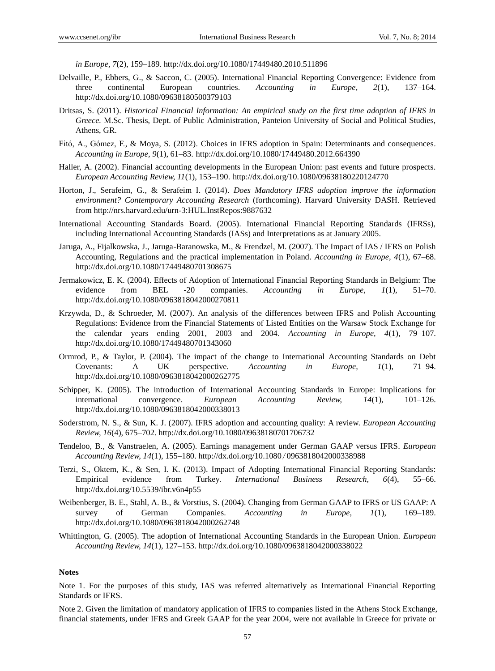*in Europe, 7*(2), 159–189. http://dx.doi.org/10.1080/17449480.2010.511896

- Delvaille, P., Ebbers, G., & Saccon, C. (2005). International Financial Reporting Convergence: Evidence from three continental European countries. *Accounting in Europe, 2*(1), 137–164. http://dx.doi.org/10.1080/09638180500379103
- Dritsas, S. (2011). *Historical Financial Information: An empirical study on the first time adoption of IFRS in Greece.* M.Sc. Thesis, Dept. of Public Administration, Panteion University of Social and Political Studies, Athens, GR.
- Fitό, A., Gόmez, F., & Moya, S. (2012). Choices in IFRS adoption in Spain: Determinants and consequences. *Accounting in Europe, 9*(1), 61–83. http://dx.doi.org/10.1080/17449480.2012.664390
- Haller, A. (2002). Financial accounting developments in the European Union: past events and future prospects*. European Accounting Review, 11*(1), 153–190. http://dx.doi.org/10.1080/09638180220124770
- Horton, J., Serafeim, G., & Serafeim I. (2014). *Does Mandatory IFRS adoption improve the information environment? Contemporary Accounting Research* (forthcoming). Harvard University DASH. Retrieved from<http://nrs.harvard.edu/urn-3:HUL.InstRepos:9887632>
- International Accounting Standards Board. (2005). International Financial Reporting Standards (IFRSs), including International Accounting Standards (IASs) and Interpretations as at January 2005.
- Jaruga, A., Fijalkowska, J., Jaruga-Baranowska, M., & Frendzel, M. (2007). The Impact of IAS / IFRS on Polish Accounting, Regulations and the practical implementation in Poland. *Accounting in Europe, 4*(1), 67–68. http://dx.doi.org/10.1080/17449480701308675
- Jermakowicz, E. K. (2004). Effects of Adoption of International Financial Reporting Standards in Belgium: The evidence from BEL -20 companies. *Accounting in Europe, 1*(1), 51–70. http://dx.doi.org/10.1080/0963818042000270811
- Krzywda, D., & Schroeder, M. (2007). An analysis of the differences between IFRS and Polish Accounting Regulations: Evidence from the Financial Statements of Listed Entities on the Warsaw Stock Exchange for the calendar years ending 2001, 2003 and 2004. *Accounting in Europe, 4*(1), 79–107. http://dx.doi.org/10.1080/17449480701343060
- Ormrod, P., & Taylor, P. (2004). The impact of the change to International Accounting Standards on Debt Covenants: A UK perspective. *Accounting in Europe, 1*(1), 71–94. http://dx.doi.org/10.1080/0963818042000262775
- Schipper, K. (2005). The introduction of International Accounting Standards in Europe: Implications for international convergence. *European Accounting Review, 14*(1), 101–126. http://dx.doi.org/10.1080/0963818042000338013
- Soderstrom, N. S., & Sun, K. J. (2007). IFRS adoption and accounting quality: A review. *European Accounting Review, 16*(4), 675–702. http://dx.doi.org/10.1080/09638180701706732
- Tendeloo, B., & Vanstraelen, A. (2005). Earnings management under German GAAP versus IFRS. *European Accounting Review, 14*(1), 155–180. http://dx.doi.org/10.1080/0963818042000338988
- Terzi, S., Oktem, K., & Sen, I. K. (2013). Impact of Adopting International Financial Reporting Standards: Empirical evidence from Turkey. *International Business Research, 6*(4), 55–66. http://dx.doi.org/10.5539/ibr.v6n4p55
- Weibenberger, B. E., Stahl, A. B., & Vorstius, S. (2004). Changing from German GAAP to IFRS or US GAAP: A survey of German Companies. *Accounting in Europe, 1*(1), 169–189. http://dx.doi.org/10.1080/0963818042000262748
- Whittington, G. (2005). The adoption of International Accounting Standards in the European Union. *European Accounting Review, 14*(1), 127–153. http://dx.doi.org/10.1080/0963818042000338022

### **Notes**

Note 1. For the purposes of this study, IAS was referred alternatively as International Financial Reporting Standards or IFRS.

Note 2. Given the limitation of mandatory application of IFRS to companies listed in the Athens Stock Exchange, financial statements, under IFRS and Greek GAAP for the year 2004, were not available in Greece for private or